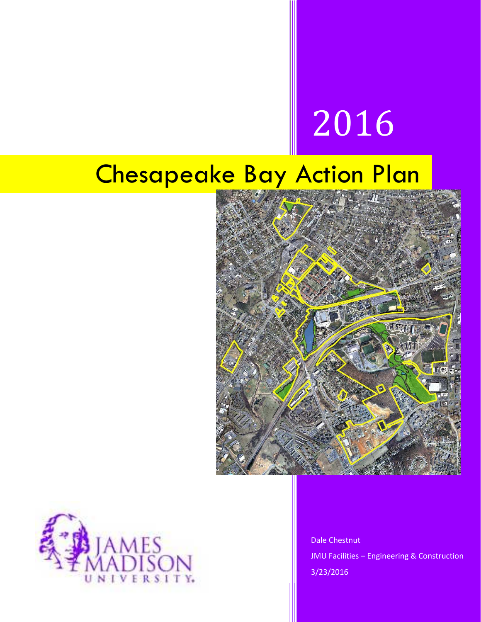# 2016

## Chesapeake Bay Action Plan





Dale Chestnut JMU Facilities – Engineering & Construction 3/23/2016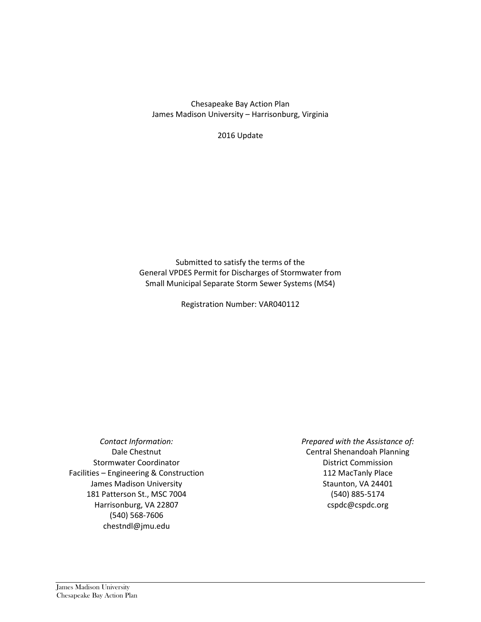Chesapeake Bay Action Plan James Madison University – Harrisonburg, Virginia

2016 Update

Submitted to satisfy the terms of the General VPDES Permit for Discharges of Stormwater from Small Municipal Separate Storm Sewer Systems (MS4)

Registration Number: VAR040112

*Contact Information:* Dale Chestnut Stormwater Coordinator Facilities – Engineering & Construction James Madison University 181 Patterson St., MSC 7004 Harrisonburg, VA 22807 (540) 568-7606 chestndl@jmu.edu

*Prepared with the Assistance of:* Central Shenandoah Planning District Commission 112 MacTanly Place Staunton, VA 24401 (540) 885-5174 cspdc@cspdc.org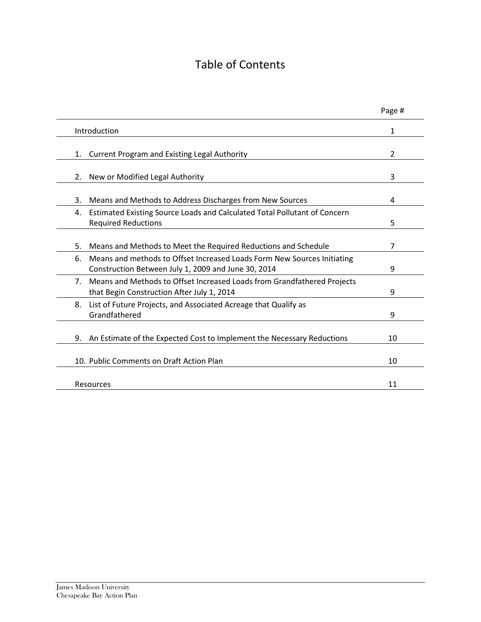### Table of Contents

|                                                                                                                                      | Page # |
|--------------------------------------------------------------------------------------------------------------------------------------|--------|
| Introduction                                                                                                                         | 1      |
| <b>Current Program and Existing Legal Authority</b><br>1.                                                                            | 2      |
| New or Modified Legal Authority<br>2.                                                                                                | 3      |
| 3.<br>Means and Methods to Address Discharges from New Sources                                                                       | 4      |
| Estimated Existing Source Loads and Calculated Total Pollutant of Concern<br>4.<br><b>Required Reductions</b>                        | 5      |
| 5.<br>Means and Methods to Meet the Required Reductions and Schedule                                                                 | 7      |
| Means and methods to Offset Increased Loads Form New Sources Initiating<br>6.<br>Construction Between July 1, 2009 and June 30, 2014 | 9      |
| Means and Methods to Offset Increased Loads from Grandfathered Projects<br>$7_{\cdot}$<br>that Begin Construction After July 1, 2014 | 9      |
| List of Future Projects, and Associated Acreage that Qualify as<br>8.<br>Grandfathered                                               | 9      |
| An Estimate of the Expected Cost to Implement the Necessary Reductions<br>9.                                                         | 10     |
| 10. Public Comments on Draft Action Plan                                                                                             | 10     |
| Resources                                                                                                                            | 11     |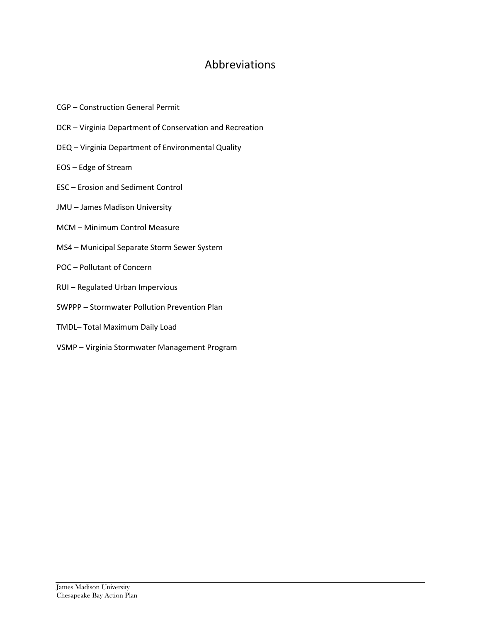#### Abbreviations

- CGP Construction General Permit
- DCR Virginia Department of Conservation and Recreation
- DEQ Virginia Department of Environmental Quality
- EOS Edge of Stream
- ESC Erosion and Sediment Control
- JMU James Madison University
- MCM Minimum Control Measure
- MS4 Municipal Separate Storm Sewer System
- POC Pollutant of Concern
- RUI Regulated Urban Impervious
- SWPPP Stormwater Pollution Prevention Plan
- TMDL– Total Maximum Daily Load
- VSMP Virginia Stormwater Management Program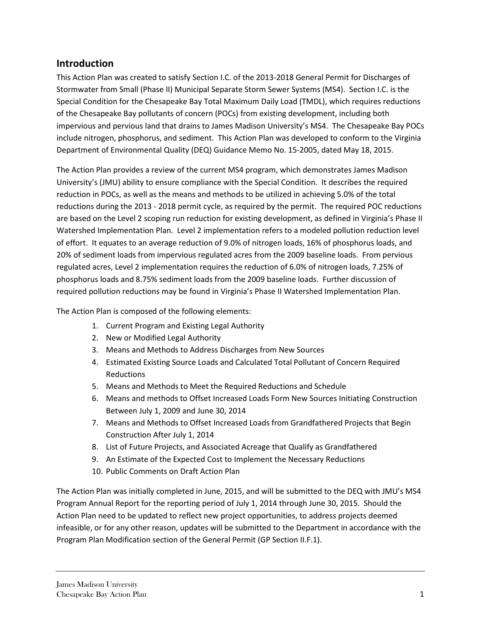#### **Introduction**

This Action Plan was created to satisfy Section I.C. of the 2013-2018 General Permit for Discharges of Stormwater from Small (Phase II) Municipal Separate Storm Sewer Systems (MS4). Section I.C. is the Special Condition for the Chesapeake Bay Total Maximum Daily Load (TMDL), which requires reductions of the Chesapeake Bay pollutants of concern (POCs) from existing development, including both impervious and pervious land that drains to James Madison University's MS4. The Chesapeake Bay POCs include nitrogen, phosphorus, and sediment. This Action Plan was developed to conform to the Virginia Department of Environmental Quality (DEQ) Guidance Memo No. 15-2005, dated May 18, 2015.

The Action Plan provides a review of the current MS4 program, which demonstrates James Madison University's (JMU) ability to ensure compliance with the Special Condition. It describes the required reduction in POCs, as well as the means and methods to be utilized in achieving 5.0% of the total reductions during the 2013 - 2018 permit cycle, as required by the permit. The required POC reductions are based on the Level 2 scoping run reduction for existing development, as defined in Virginia's Phase II Watershed Implementation Plan. Level 2 implementation refers to a modeled pollution reduction level of effort. It equates to an average reduction of 9.0% of nitrogen loads, 16% of phosphorus loads, and 20% of sediment loads from impervious regulated acres from the 2009 baseline loads. From pervious regulated acres, Level 2 implementation requires the reduction of 6.0% of nitrogen loads, 7.25% of phosphorus loads and 8.75% sediment loads from the 2009 baseline loads. Further discussion of required pollution reductions may be found in Virginia's Phase II Watershed Implementation Plan.

The Action Plan is composed of the following elements:

- 1. Current Program and Existing Legal Authority
- 2. New or Modified Legal Authority
- 3. Means and Methods to Address Discharges from New Sources
- 4. Estimated Existing Source Loads and Calculated Total Pollutant of Concern Required Reductions
- 5. Means and Methods to Meet the Required Reductions and Schedule
- 6. Means and methods to Offset Increased Loads Form New Sources Initiating Construction Between July 1, 2009 and June 30, 2014
- 7. Means and Methods to Offset Increased Loads from Grandfathered Projects that Begin Construction After July 1, 2014
- 8. List of Future Projects, and Associated Acreage that Qualify as Grandfathered
- 9. An Estimate of the Expected Cost to Implement the Necessary Reductions
- 10. Public Comments on Draft Action Plan

The Action Plan was initially completed in June, 2015, and will be submitted to the DEQ with JMU's MS4 Program Annual Report for the reporting period of July 1, 2014 through June 30, 2015. Should the Action Plan need to be updated to reflect new project opportunities, to address projects deemed infeasible, or for any other reason, updates will be submitted to the Department in accordance with the Program Plan Modification section of the General Permit (GP Section II.F.1).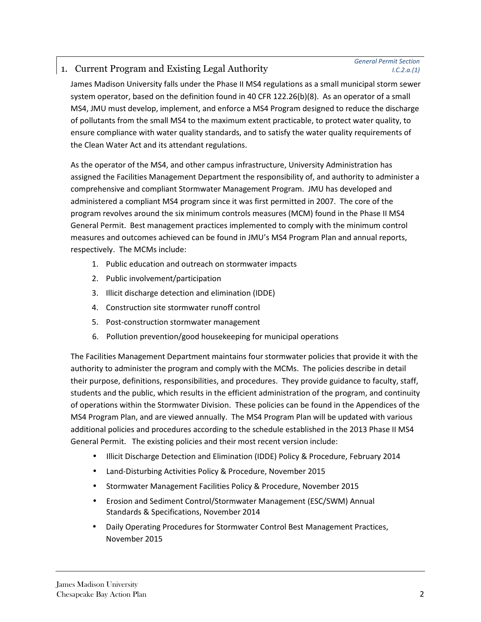#### 1. Current Program and Existing Legal Authority

James Madison University falls under the Phase II MS4 regulations as a small municipal storm sewer system operator, based on the definition found in 40 CFR 122.26(b)(8). As an operator of a small MS4, JMU must develop, implement, and enforce a MS4 Program designed to reduce the discharge of pollutants from the small MS4 to the maximum extent practicable, to protect water quality, to ensure compliance with water quality standards, and to satisfy the water quality requirements of the Clean Water Act and its attendant regulations.

As the operator of the MS4, and other campus infrastructure, University Administration has assigned the Facilities Management Department the responsibility of, and authority to administer a comprehensive and compliant Stormwater Management Program. JMU has developed and administered a compliant MS4 program since it was first permitted in 2007. The core of the program revolves around the six minimum controls measures (MCM) found in the Phase II MS4 General Permit. Best management practices implemented to comply with the minimum control measures and outcomes achieved can be found in JMU's MS4 Program Plan and annual reports, respectively. The MCMs include:

- 1. Public education and outreach on stormwater impacts
- 2. Public involvement/participation
- 3. Illicit discharge detection and elimination (IDDE)
- 4. Construction site stormwater runoff control
- 5. Post-construction stormwater management
- 6. Pollution prevention/good housekeeping for municipal operations

The Facilities Management Department maintains four stormwater policies that provide it with the authority to administer the program and comply with the MCMs. The policies describe in detail their purpose, definitions, responsibilities, and procedures. They provide guidance to faculty, staff, students and the public, which results in the efficient administration of the program, and continuity of operations within the Stormwater Division. These policies can be found in the Appendices of the MS4 Program Plan, and are viewed annually. The MS4 Program Plan will be updated with various additional policies and procedures according to the schedule established in the 2013 Phase II MS4 General Permit. The existing policies and their most recent version include:

- Illicit Discharge Detection and Elimination (IDDE) Policy & Procedure, February 2014
- Land-Disturbing Activities Policy & Procedure, November 2015
- Stormwater Management Facilities Policy & Procedure, November 2015
- Erosion and Sediment Control/Stormwater Management (ESC/SWM) Annual Standards & Specifications, November 2014
- Daily Operating Procedures for Stormwater Control Best Management Practices, November 2015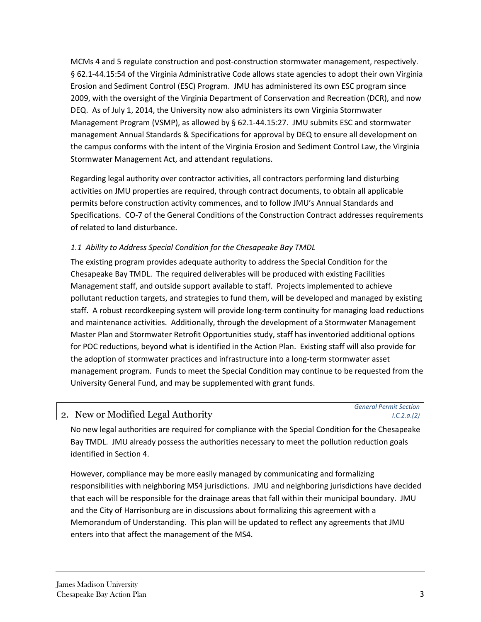MCMs 4 and 5 regulate construction and post-construction stormwater management, respectively. § 62.1-44.15:54 of the Virginia Administrative Code allows state agencies to adopt their own Virginia Erosion and Sediment Control (ESC) Program. JMU has administered its own ESC program since 2009, with the oversight of the Virginia Department of Conservation and Recreation (DCR), and now DEQ. As of July 1, 2014, the University now also administers its own Virginia Stormwater Management Program (VSMP), as allowed by § 62.1-44.15:27. JMU submits ESC and stormwater management Annual Standards & Specifications for approval by DEQ to ensure all development on the campus conforms with the intent of the Virginia Erosion and Sediment Control Law, the Virginia Stormwater Management Act, and attendant regulations.

Regarding legal authority over contractor activities, all contractors performing land disturbing activities on JMU properties are required, through contract documents, to obtain all applicable permits before construction activity commences, and to follow JMU's Annual Standards and Specifications. CO-7 of the General Conditions of the Construction Contract addresses requirements of related to land disturbance.

#### *1.1 Ability to Address Special Condition for the Chesapeake Bay TMDL*

The existing program provides adequate authority to address the Special Condition for the Chesapeake Bay TMDL. The required deliverables will be produced with existing Facilities Management staff, and outside support available to staff. Projects implemented to achieve pollutant reduction targets, and strategies to fund them, will be developed and managed by existing staff. A robust recordkeeping system will provide long-term continuity for managing load reductions and maintenance activities. Additionally, through the development of a Stormwater Management Master Plan and Stormwater Retrofit Opportunities study, staff has inventoried additional options for POC reductions, beyond what is identified in the Action Plan. Existing staff will also provide for the adoption of stormwater practices and infrastructure into a long-term stormwater asset management program. Funds to meet the Special Condition may continue to be requested from the University General Fund, and may be supplemented with grant funds.

#### 2. New or Modified Legal Authority

*General Permit Section I.C.2.a.(2)*

No new legal authorities are required for compliance with the Special Condition for the Chesapeake Bay TMDL. JMU already possess the authorities necessary to meet the pollution reduction goals identified in Section 4.

However, compliance may be more easily managed by communicating and formalizing responsibilities with neighboring MS4 jurisdictions. JMU and neighboring jurisdictions have decided that each will be responsible for the drainage areas that fall within their municipal boundary. JMU and the City of Harrisonburg are in discussions about formalizing this agreement with a Memorandum of Understanding. This plan will be updated to reflect any agreements that JMU enters into that affect the management of the MS4.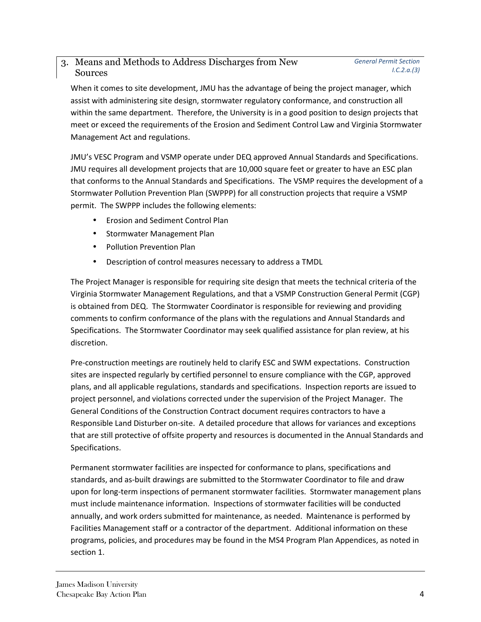#### 3. Means and Methods to Address Discharges from New Sources

When it comes to site development, JMU has the advantage of being the project manager, which assist with administering site design, stormwater regulatory conformance, and construction all within the same department. Therefore, the University is in a good position to design projects that meet or exceed the requirements of the Erosion and Sediment Control Law and Virginia Stormwater Management Act and regulations.

JMU's VESC Program and VSMP operate under DEQ approved Annual Standards and Specifications. JMU requires all development projects that are 10,000 square feet or greater to have an ESC plan that conforms to the Annual Standards and Specifications. The VSMP requires the development of a Stormwater Pollution Prevention Plan (SWPPP) for all construction projects that require a VSMP permit. The SWPPP includes the following elements:

- Erosion and Sediment Control Plan
- Stormwater Management Plan
- Pollution Prevention Plan
- Description of control measures necessary to address a TMDL

The Project Manager is responsible for requiring site design that meets the technical criteria of the Virginia Stormwater Management Regulations, and that a VSMP Construction General Permit (CGP) is obtained from DEQ. The Stormwater Coordinator is responsible for reviewing and providing comments to confirm conformance of the plans with the regulations and Annual Standards and Specifications. The Stormwater Coordinator may seek qualified assistance for plan review, at his discretion.

Pre-construction meetings are routinely held to clarify ESC and SWM expectations. Construction sites are inspected regularly by certified personnel to ensure compliance with the CGP, approved plans, and all applicable regulations, standards and specifications. Inspection reports are issued to project personnel, and violations corrected under the supervision of the Project Manager. The General Conditions of the Construction Contract document requires contractors to have a Responsible Land Disturber on-site. A detailed procedure that allows for variances and exceptions that are still protective of offsite property and resources is documented in the Annual Standards and Specifications.

Permanent stormwater facilities are inspected for conformance to plans, specifications and standards, and as-built drawings are submitted to the Stormwater Coordinator to file and draw upon for long-term inspections of permanent stormwater facilities. Stormwater management plans must include maintenance information. Inspections of stormwater facilities will be conducted annually, and work orders submitted for maintenance, as needed. Maintenance is performed by Facilities Management staff or a contractor of the department. Additional information on these programs, policies, and procedures may be found in the MS4 Program Plan Appendices, as noted in section 1.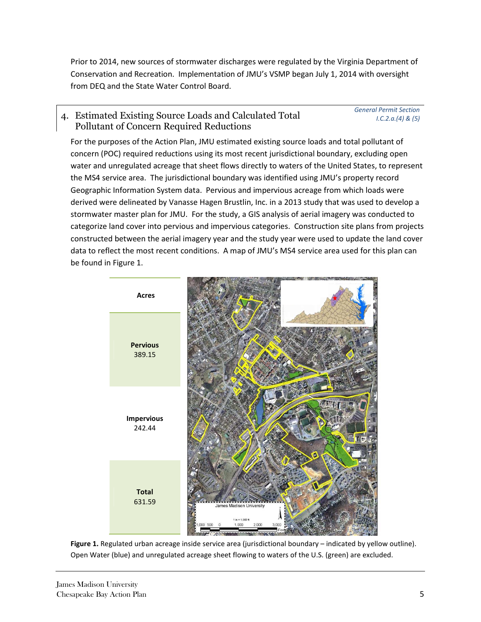Prior to 2014, new sources of stormwater discharges were regulated by the Virginia Department of Conservation and Recreation. Implementation of JMU's VSMP began July 1, 2014 with oversight from DEQ and the State Water Control Board.

#### 4. Estimated Existing Source Loads and Calculated Total Pollutant of Concern Required Reductions

*General Permit Section I.C.2.a.(4) & (5)*

For the purposes of the Action Plan, JMU estimated existing source loads and total pollutant of concern (POC) required reductions using its most recent jurisdictional boundary, excluding open water and unregulated acreage that sheet flows directly to waters of the United States, to represent the MS4 service area. The jurisdictional boundary was identified using JMU's property record Geographic Information System data. Pervious and impervious acreage from which loads were derived were delineated by Vanasse Hagen Brustlin, Inc. in a 2013 study that was used to develop a stormwater master plan for JMU. For the study, a GIS analysis of aerial imagery was conducted to categorize land cover into pervious and impervious categories. Construction site plans from projects constructed between the aerial imagery year and the study year were used to update the land cover data to reflect the most recent conditions. A map of JMU's MS4 service area used for this plan can be found in Figure 1.



**Figure 1.** Regulated urban acreage inside service area (jurisdictional boundary – indicated by yellow outline). Open Water (blue) and unregulated acreage sheet flowing to waters of the U.S. (green) are excluded.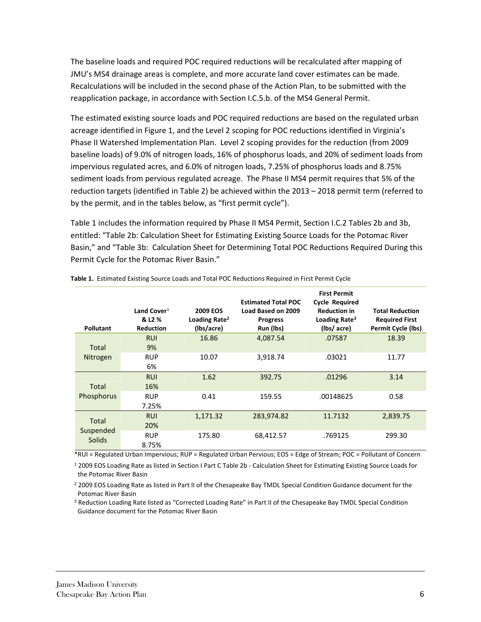The baseline loads and required POC required reductions will be recalculated after mapping of JMU's MS4 drainage areas is complete, and more accurate land cover estimates can be made. Recalculations will be included in the second phase of the Action Plan, to be submitted with the reapplication package, in accordance with Section I.C.5.b. of the MS4 General Permit.

The estimated existing source loads and POC required reductions are based on the regulated urban acreage identified in Figure 1, and the Level 2 scoping for POC reductions identified in Virginia's Phase II Watershed Implementation Plan. Level 2 scoping provides for the reduction (from 2009 baseline loads) of 9.0% of nitrogen loads, 16% of phosphorus loads, and 20% of sediment loads from impervious regulated acres, and 6.0% of nitrogen loads, 7.25% of phosphorus loads and 8.75% sediment loads from pervious regulated acreage. The Phase II MS4 permit requires that 5% of the reduction targets (identified in Table 2) be achieved within the 2013 – 2018 permit term (referred to by the permit, and in the tables below, as "first permit cycle").

Table 1 includes the information required by Phase II MS4 Permit, Section I.C.2 Tables 2b and 3b, entitled: "Table 2b: Calculation Sheet for Estimating Existing Source Loads for the Potomac River Basin," and "Table 3b: Calculation Sheet for Determining Total POC Reductions Required During this Permit Cycle for the Potomac River Basin."

| <b>Pollutant</b> | Land Cover $1$<br>& L <sub>2</sub> %<br><b>Reduction</b> | <b>2009 EOS</b><br>Loading Rate <sup>2</sup><br>(Ibs/acre) | <b>Estimated Total POC</b><br>Load Based on 2009<br><b>Progress</b><br>Run (lbs) | <b>First Permit</b><br><b>Cycle Required</b><br><b>Reduction in</b><br>Loading Rate <sup>3</sup><br>(lbs/acre) | <b>Total Reduction</b><br><b>Required First</b><br><b>Permit Cycle (lbs)</b> |
|------------------|----------------------------------------------------------|------------------------------------------------------------|----------------------------------------------------------------------------------|----------------------------------------------------------------------------------------------------------------|------------------------------------------------------------------------------|
|                  | <b>RUI</b>                                               | 16.86                                                      | 4,087.54                                                                         | .07587                                                                                                         | 18.39                                                                        |
| Total            | 9%                                                       |                                                            |                                                                                  |                                                                                                                |                                                                              |
| Nitrogen         | <b>RUP</b><br>10.07                                      |                                                            | 3,918.74                                                                         | .03021                                                                                                         | 11.77                                                                        |
|                  | 6%                                                       |                                                            |                                                                                  |                                                                                                                |                                                                              |
|                  | <b>RUI</b>                                               | 1.62                                                       | 392.75                                                                           | .01296                                                                                                         | 3.14                                                                         |
| Total            | 16%                                                      |                                                            |                                                                                  |                                                                                                                |                                                                              |
| Phosphorus       | <b>RUP</b>                                               | 0.41<br>159.55                                             |                                                                                  | .00148625                                                                                                      | 0.58                                                                         |
|                  | 7.25%                                                    |                                                            |                                                                                  |                                                                                                                |                                                                              |
|                  | <b>RUI</b>                                               | 1,171.32                                                   | 283,974.82                                                                       | 11.7132                                                                                                        | 2,839.75                                                                     |
| Total            | 20%                                                      |                                                            |                                                                                  |                                                                                                                |                                                                              |
| Suspended        | <b>RUP</b>                                               | 175.80                                                     | 68,412.57                                                                        | .769125                                                                                                        | 299.30                                                                       |
| Solids           | 8.75%                                                    |                                                            |                                                                                  |                                                                                                                |                                                                              |

**Table 1.** Estimated Existing Source Loads and Total POC Reductions Required in First Permit Cycle

\*RUI = Regulated Urban Impervious; RUP = Regulated Urban Pervious; EOS = Edge of Stream; POC = Pollutant of Concern

<sup>1</sup> 2009 EOS Loading Rate as listed in Section I Part C Table 2b - Calculation Sheet for Estimating Existing Source Loads for the Potomac River Basin

<sup>2</sup> 2009 EOS Loading Rate as listed in Part II of the Chesapeake Bay TMDL Special Condition Guidance document for the Potomac River Basin

<sup>3</sup> Reduction Loading Rate listed as "Corrected Loading Rate" in Part II of the Chesapeake Bay TMDL Special Condition Guidance document for the Potomac River Basin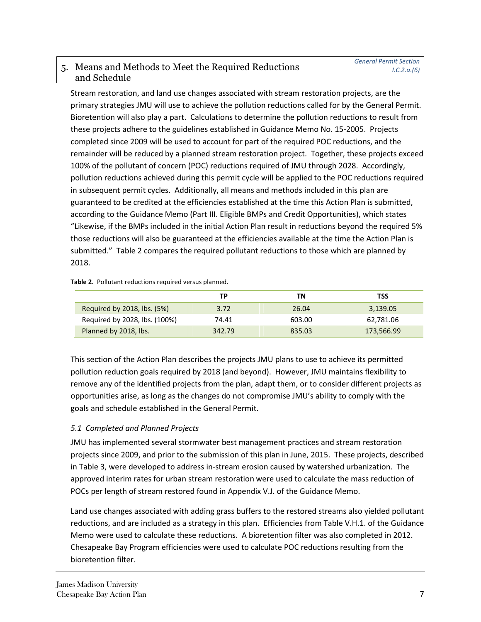#### 5. Means and Methods to Meet the Required Reductions and Schedule

Stream restoration, and land use changes associated with stream restoration projects, are the primary strategies JMU will use to achieve the pollution reductions called for by the General Permit. Bioretention will also play a part. Calculations to determine the pollution reductions to result from these projects adhere to the guidelines established in Guidance Memo No. 15-2005. Projects completed since 2009 will be used to account for part of the required POC reductions, and the remainder will be reduced by a planned stream restoration project. Together, these projects exceed 100% of the pollutant of concern (POC) reductions required of JMU through 2028. Accordingly, pollution reductions achieved during this permit cycle will be applied to the POC reductions required in subsequent permit cycles. Additionally, all means and methods included in this plan are guaranteed to be credited at the efficiencies established at the time this Action Plan is submitted, according to the Guidance Memo (Part III. Eligible BMPs and Credit Opportunities), which states "Likewise, if the BMPs included in the initial Action Plan result in reductions beyond the required 5% those reductions will also be guaranteed at the efficiencies available at the time the Action Plan is submitted." Table 2 compares the required pollutant reductions to those which are planned by 2018.

**Table 2.** Pollutant reductions required versus planned.

|                               | ΤР     | ΤN     | TSS        |
|-------------------------------|--------|--------|------------|
| Required by 2018, lbs. (5%)   | 3.72   | 26.04  | 3,139.05   |
| Required by 2028, lbs. (100%) | 74.41  | 603.00 | 62,781.06  |
| Planned by 2018, lbs.         | 342.79 | 835.03 | 173,566.99 |

This section of the Action Plan describes the projects JMU plans to use to achieve its permitted pollution reduction goals required by 2018 (and beyond). However, JMU maintains flexibility to remove any of the identified projects from the plan, adapt them, or to consider different projects as opportunities arise, as long as the changes do not compromise JMU's ability to comply with the goals and schedule established in the General Permit.

#### *5.1 Completed and Planned Projects*

JMU has implemented several stormwater best management practices and stream restoration projects since 2009, and prior to the submission of this plan in June, 2015. These projects, described in Table 3, were developed to address in-stream erosion caused by watershed urbanization. The approved interim rates for urban stream restoration were used to calculate the mass reduction of POCs per length of stream restored found in Appendix V.J. of the Guidance Memo.

Land use changes associated with adding grass buffers to the restored streams also yielded pollutant reductions, and are included as a strategy in this plan. Efficiencies from Table V.H.1. of the Guidance Memo were used to calculate these reductions. A bioretention filter was also completed in 2012. Chesapeake Bay Program efficiencies were used to calculate POC reductions resulting from the bioretention filter.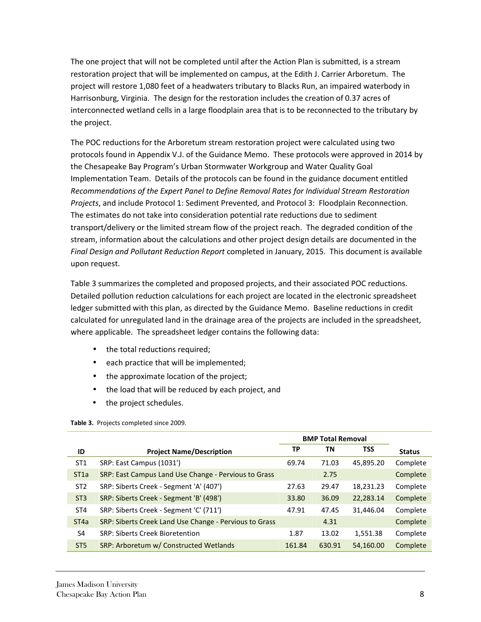The one project that will not be completed until after the Action Plan is submitted, is a stream restoration project that will be implemented on campus, at the Edith J. Carrier Arboretum. The project will restore 1,080 feet of a headwaters tributary to Blacks Run, an impaired waterbody in Harrisonburg, Virginia. The design for the restoration includes the creation of 0.37 acres of interconnected wetland cells in a large floodplain area that is to be reconnected to the tributary by the project.

The POC reductions for the Arboretum stream restoration project were calculated using two protocols found in Appendix V.J. of the Guidance Memo. These protocols were approved in 2014 by the Chesapeake Bay Program's Urban Stormwater Workgroup and Water Quality Goal Implementation Team. Details of the protocols can be found in the guidance document entitled *Recommendations of the Expert Panel to Define Removal Rates for Individual Stream Restoration Projects*, and include Protocol 1: Sediment Prevented, and Protocol 3: Floodplain Reconnection. The estimates do not take into consideration potential rate reductions due to sediment transport/delivery or the limited stream flow of the project reach. The degraded condition of the stream, information about the calculations and other project design details are documented in the *Final Design and Pollutant Reduction Report* completed in January, 2015. This document is available upon request.

Table 3 summarizes the completed and proposed projects, and their associated POC reductions. Detailed pollution reduction calculations for each project are located in the electronic spreadsheet ledger submitted with this plan, as directed by the Guidance Memo. Baseline reductions in credit calculated for unregulated land in the drainage area of the projects are included in the spreadsheet, where applicable. The spreadsheet ledger contains the following data:

- the total reductions required;
- each practice that will be implemented;
- the approximate location of the project;
- the load that will be reduced by each project, and
- the project schedules.

**Table 3.** Projects completed since 2009.

|                   |                                                        | <b>BMP Total Removal</b> |        |            |               |
|-------------------|--------------------------------------------------------|--------------------------|--------|------------|---------------|
| ID                | <b>Project Name/Description</b>                        | ТP                       | ΤN     | <b>TSS</b> | <b>Status</b> |
| ST <sub>1</sub>   | SRP: East Campus (1031')                               | 69.74                    | 71.03  | 45,895.20  | Complete      |
| ST <sub>1</sub> a | SRP: East Campus Land Use Change - Pervious to Grass   |                          | 2.75   |            | Complete      |
| ST <sub>2</sub>   | SRP: Siberts Creek - Segment 'A' (407')                | 27.63                    | 29.47  | 18,231.23  | Complete      |
| ST <sub>3</sub>   | SRP: Siberts Creek - Segment 'B' (498')                | 33.80                    | 36.09  | 22,283.14  | Complete      |
| ST <sub>4</sub>   | SRP: Siberts Creek - Segment 'C' (711')                | 47.91                    | 47.45  | 31,446.04  | Complete      |
| ST <sub>4</sub> a | SRP: Siberts Creek Land Use Change - Pervious to Grass |                          | 4.31   |            | Complete      |
| S <sub>4</sub>    | SRP: Siberts Creek Bioretention                        | 1.87                     | 13.02  | 1,551.38   | Complete      |
| ST <sub>5</sub>   | SRP: Arboretum w/ Constructed Wetlands                 | 161.84                   | 630.91 | 54,160.00  | Complete      |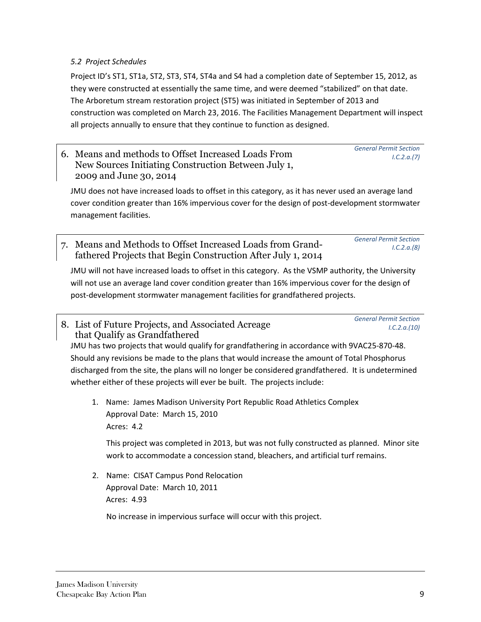#### *5.2 Project Schedules*

Project ID's ST1, ST1a, ST2, ST3, ST4, ST4a and S4 had a completion date of September 15, 2012, as they were constructed at essentially the same time, and were deemed "stabilized" on that date. The Arboretum stream restoration project (ST5) was initiated in September of 2013 and construction was completed on March 23, 2016. The Facilities Management Department will inspect all projects annually to ensure that they continue to function as designed.

6. Means and methods to Offset Increased Loads From New Sources Initiating Construction Between July 1, 2009 and June 30, 2014

JMU does not have increased loads to offset in this category, as it has never used an average land cover condition greater than 16% impervious cover for the design of post-development stormwater management facilities.

7. Means and Methods to Offset Increased Loads from Grandfathered Projects that Begin Construction After July 1, 2014 *General Permit Section I.C.2.a.(8)* 

JMU will not have increased loads to offset in this category. As the VSMP authority, the University will not use an average land cover condition greater than 16% impervious cover for the design of post-development stormwater management facilities for grandfathered projects.

8. List of Future Projects, and Associated Acreage that Qualify as Grandfathered

JMU has two projects that would qualify for grandfathering in accordance with 9VAC25-870-48. Should any revisions be made to the plans that would increase the amount of Total Phosphorus discharged from the site, the plans will no longer be considered grandfathered. It is undetermined whether either of these projects will ever be built. The projects include:

1. Name: James Madison University Port Republic Road Athletics Complex Approval Date: March 15, 2010 Acres: 4.2

This project was completed in 2013, but was not fully constructed as planned. Minor site work to accommodate a concession stand, bleachers, and artificial turf remains.

2. Name: CISAT Campus Pond Relocation Approval Date: March 10, 2011 Acres: 4.93

No increase in impervious surface will occur with this project.

*General Permit Section* 

*General Permit Section* 

 *I.C.2.a.(10)* 

 *I.C.2.a.(7)*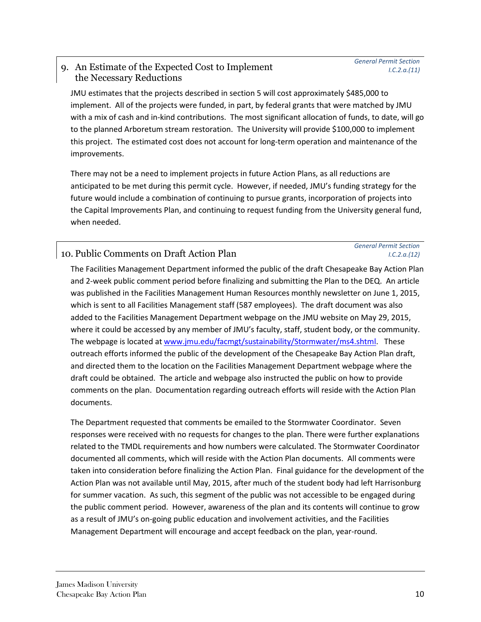#### 9. An Estimate of the Expected Cost to Implement the Necessary Reductions

*General Permit Section I.C.2.a.(11)* 

JMU estimates that the projects described in section 5 will cost approximately \$485,000 to implement. All of the projects were funded, in part, by federal grants that were matched by JMU with a mix of cash and in-kind contributions. The most significant allocation of funds, to date, will go to the planned Arboretum stream restoration. The University will provide \$100,000 to implement this project. The estimated cost does not account for long-term operation and maintenance of the improvements.

There may not be a need to implement projects in future Action Plans, as all reductions are anticipated to be met during this permit cycle. However, if needed, JMU's funding strategy for the future would include a combination of continuing to pursue grants, incorporation of projects into the Capital Improvements Plan, and continuing to request funding from the University general fund, when needed.

#### 10. Public Comments on Draft Action Plan

#### *General Permit Section I.C.2.a.(12)*

The Facilities Management Department informed the public of the draft Chesapeake Bay Action Plan and 2-week public comment period before finalizing and submitting the Plan to the DEQ. An article was published in the Facilities Management Human Resources monthly newsletter on June 1, 2015, which is sent to all Facilities Management staff (587 employees). The draft document was also added to the Facilities Management Department webpage on the JMU website on May 29, 2015, where it could be accessed by any member of JMU's faculty, staff, student body, or the community. The webpage is located at www.jmu.edu/facmgt/sustainability/Stormwater/ms4.shtml. These outreach efforts informed the public of the development of the Chesapeake Bay Action Plan draft, and directed them to the location on the Facilities Management Department webpage where the draft could be obtained. The article and webpage also instructed the public on how to provide comments on the plan. Documentation regarding outreach efforts will reside with the Action Plan documents.

The Department requested that comments be emailed to the Stormwater Coordinator. Seven responses were received with no requests for changes to the plan. There were further explanations related to the TMDL requirements and how numbers were calculated. The Stormwater Coordinator documented all comments, which will reside with the Action Plan documents. All comments were taken into consideration before finalizing the Action Plan. Final guidance for the development of the Action Plan was not available until May, 2015, after much of the student body had left Harrisonburg for summer vacation. As such, this segment of the public was not accessible to be engaged during the public comment period. However, awareness of the plan and its contents will continue to grow as a result of JMU's on-going public education and involvement activities, and the Facilities Management Department will encourage and accept feedback on the plan, year-round.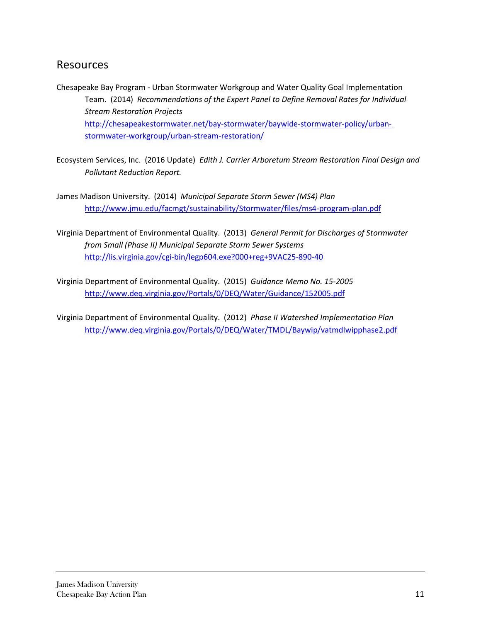#### Resources

- Chesapeake Bay Program Urban Stormwater Workgroup and Water Quality Goal Implementation Team. (2014) *Recommendations of the Expert Panel to Define Removal Rates for Individual Stream Restoration Projects*  http://chesapeakestormwater.net/bay-stormwater/baywide-stormwater-policy/urbanstormwater-workgroup/urban-stream-restoration/
- Ecosystem Services, Inc. (2016 Update) *Edith J. Carrier Arboretum Stream Restoration Final Design and Pollutant Reduction Report.*
- James Madison University. (2014) *Municipal Separate Storm Sewer (MS4) Plan* http://www.jmu.edu/facmgt/sustainability/Stormwater/files/ms4-program-plan.pdf
- Virginia Department of Environmental Quality. (2013) *General Permit for Discharges of Stormwater from Small (Phase II) Municipal Separate Storm Sewer Systems* http://lis.virginia.gov/cgi-bin/legp604.exe?000+reg+9VAC25-890-40
- Virginia Department of Environmental Quality. (2015) *Guidance Memo No. 15-2005*  http://www.deq.virginia.gov/Portals/0/DEQ/Water/Guidance/152005.pdf

Virginia Department of Environmental Quality. (2012) *Phase II Watershed Implementation Plan* http://www.deq.virginia.gov/Portals/0/DEQ/Water/TMDL/Baywip/vatmdlwipphase2.pdf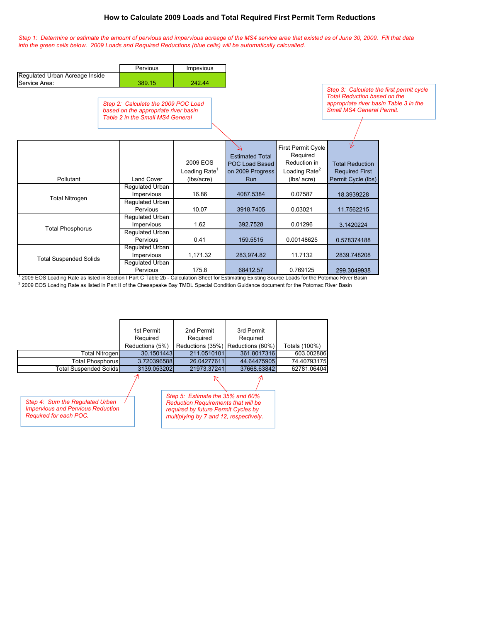#### **How to Calculate 2009 Loads and Total Required First Permit Term Reductions**

*Step 1: Determine or estimate the amount of pervious and impervious acreage of the MS4 service area that existed as of June 30, 2009. Fill that data into the green cells below. 2009 Loads and Required Reductions (blue cells) will be automatically calcualted.* 

|                                                                                                                                                   | Pervious                                                                                                        | Impevious                                           |                                                                            |                                                                                            |                                                                                                                                                               |  |  |
|---------------------------------------------------------------------------------------------------------------------------------------------------|-----------------------------------------------------------------------------------------------------------------|-----------------------------------------------------|----------------------------------------------------------------------------|--------------------------------------------------------------------------------------------|---------------------------------------------------------------------------------------------------------------------------------------------------------------|--|--|
| Regulated Urban Acreage Inside<br>Service Area:                                                                                                   | 389.15                                                                                                          | 242.44                                              |                                                                            |                                                                                            |                                                                                                                                                               |  |  |
|                                                                                                                                                   | Step 2: Calculate the 2009 POC Load<br>based on the appropriate river basin<br>Table 2 in the Small MS4 General |                                                     |                                                                            |                                                                                            | Step 3: Calculate the first permit cycle<br><b>Total Reduction based on the</b><br>appropriate river basin Table 3 in the<br><b>Small MS4 General Permit.</b> |  |  |
| Pollutant                                                                                                                                         | <b>Land Cover</b>                                                                                               | 2009 EOS<br>Loading Rate <sup>1</sup><br>(lbs/acre) | <b>Estimated Total</b><br>POC Load Based<br>on 2009 Progress<br><b>Run</b> | First Permit Cycle<br>Required<br>Reduction in<br>Loading Rate <sup>2</sup><br>(lbs/ acre) | ⊭<br><b>Total Reduction</b><br><b>Required First</b><br>Permit Cycle (lbs)                                                                                    |  |  |
| <b>Total Nitrogen</b>                                                                                                                             | Regulated Urban<br>Impervious                                                                                   | 16.86                                               | 4087.5384                                                                  | 0.07587                                                                                    | 18.3939228                                                                                                                                                    |  |  |
|                                                                                                                                                   | Regulated Urban<br>Pervious                                                                                     | 10.07                                               | 3918.7405                                                                  | 0.03021                                                                                    | 11.7562215                                                                                                                                                    |  |  |
| <b>Total Phosphorus</b>                                                                                                                           | Regulated Urban<br>Impervious                                                                                   | 1.62                                                | 392.7528                                                                   | 0.01296                                                                                    | 3.1420224                                                                                                                                                     |  |  |
|                                                                                                                                                   | <b>Requlated Urban</b><br>Pervious                                                                              | 0.41                                                | 159.5515                                                                   | 0.00148625                                                                                 | 0.578374188                                                                                                                                                   |  |  |
| <b>Total Suspended Solids</b>                                                                                                                     | Regulated Urban<br>Impervious                                                                                   | 1,171.32                                            | 283,974.82                                                                 | 11.7132                                                                                    | 2839.748208                                                                                                                                                   |  |  |
| 2009 EOS Loading Rate as listed in Section I Part C Table 2b - Calculation Sheet for Estimating Existing Source Loads for the Potomac River Basin | Regulated Urban<br>Pervious                                                                                     | 175.8                                               | 68412.57                                                                   | 0.769125                                                                                   | 299.3049938                                                                                                                                                   |  |  |

<sup>2</sup> 2009 EOS Loading Rate as listed in Part II of the Chesapeake Bay TMDL Special Condition Guidance document for the Potomac River Basin

|                                                                                                       | 1st Permit<br>Required<br>Reductions (5%) | 2nd Permit<br>Required<br>Reductions (35%)                                                                                                                      | 3rd Permit<br>Required<br>Reductions (60%) | Totals (100%) |
|-------------------------------------------------------------------------------------------------------|-------------------------------------------|-----------------------------------------------------------------------------------------------------------------------------------------------------------------|--------------------------------------------|---------------|
| <b>Total Nitrogen</b>                                                                                 | 30.1501443                                | 211.0510101                                                                                                                                                     | 361.8017316                                | 603.002886    |
| Total Phosphorus                                                                                      | 3.720396588                               | 26.04277611                                                                                                                                                     | 44.64475905                                | 74.40793175   |
| <b>Total Suspended Solids</b>                                                                         | 3139.053202                               | 21973.37241                                                                                                                                                     | 37668.63842                                | 62781.06404   |
| Step 4: Sum the Regulated Urban<br><b>Impervious and Pervious Reduction</b><br>Required for each POC. |                                           | Step 5: Estimate the 35% and 60%<br><b>Reduction Requirements that will be</b><br>required by future Permit Cycles by<br>multiplying by 7 and 12, respectively. |                                            |               |